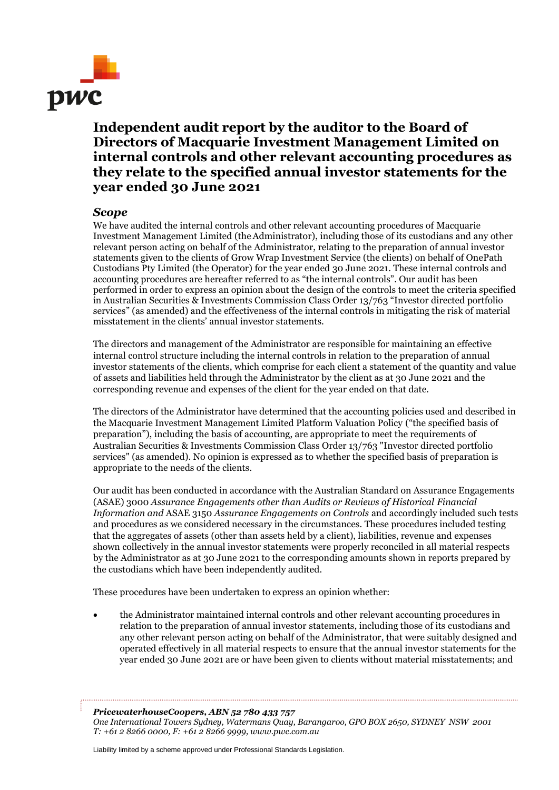

## **Independent audit report by the auditor to the Board of Directors of Macquarie Investment Management Limited on internal controls and other relevant accounting procedures as they relate to the specified annual investor statements for the year ended 30 June 2021**

## *Scope*

We have audited the internal controls and other relevant accounting procedures of Macquarie Investment Management Limited (theAdministrator), including those of its custodians and any other relevant person acting on behalf of the Administrator, relating to the preparation of annual investor statements given to the clients of Grow Wrap Investment Service (the clients) on behalf of OnePath Custodians Pty Limited (the Operator) for the year ended 30 June 2021. These internal controls and accounting procedures are hereafter referred to as "the internal controls". Our audit has been performed in order to express an opinion about the design of the controls to meet the criteria specified in Australian Securities & Investments Commission Class Order 13/763 "Investor directed portfolio services" (as amended) and the effectiveness of the internal controls in mitigating the risk of material misstatement in the clients' annual investor statements.

The directors and management of the Administrator are responsible for maintaining an effective internal control structure including the internal controls in relation to the preparation of annual investor statements of the clients, which comprise for each client a statement of the quantity and value of assets and liabilities held through the Administrator by the client as at 30 June 2021 and the corresponding revenue and expenses of the client for the year ended on that date.

The directors of the Administrator have determined that the accounting policies used and described in the Macquarie Investment Management Limited Platform Valuation Policy ("the specified basis of preparation"), including the basis of accounting, are appropriate to meet the requirements of Australian Securities & Investments Commission Class Order 13/763 "Investor directed portfolio services" (as amended). No opinion is expressed as to whether the specified basis of preparation is appropriate to the needs of the clients.

Our audit has been conducted in accordance with the Australian Standard on Assurance Engagements (ASAE) 3000 *Assurance Engagements other than Audits or Reviews of Historical Financial Information and* ASAE 3150 *Assurance Engagements on Controls* and accordingly included such tests and procedures as we considered necessary in the circumstances. These procedures included testing that the aggregates of assets (other than assets held by a client), liabilities, revenue and expenses shown collectively in the annual investor statements were properly reconciled in all material respects by the Administrator as at 30 June 2021 to the corresponding amounts shown in reports prepared by the custodians which have been independently audited.

These procedures have been undertaken to express an opinion whether:

• the Administrator maintained internal controls and other relevant accounting procedures in relation to the preparation of annual investor statements, including those of its custodians and any other relevant person acting on behalf of the Administrator, that were suitably designed and operated effectively in all material respects to ensure that the annual investor statements for the year ended 30 June 2021 are or have been given to clients without material misstatements; and

*PricewaterhouseCoopers, ABN 52 780 433 757 One International Towers Sydney, Watermans Quay, Barangaroo, GPO BOX 2650, SYDNEY NSW 2001 T: +61 2 8266 0000, F: +61 2 8266 9999, www.pwc.com.au*

Liability limited by a scheme approved under Professional Standards Legislation.